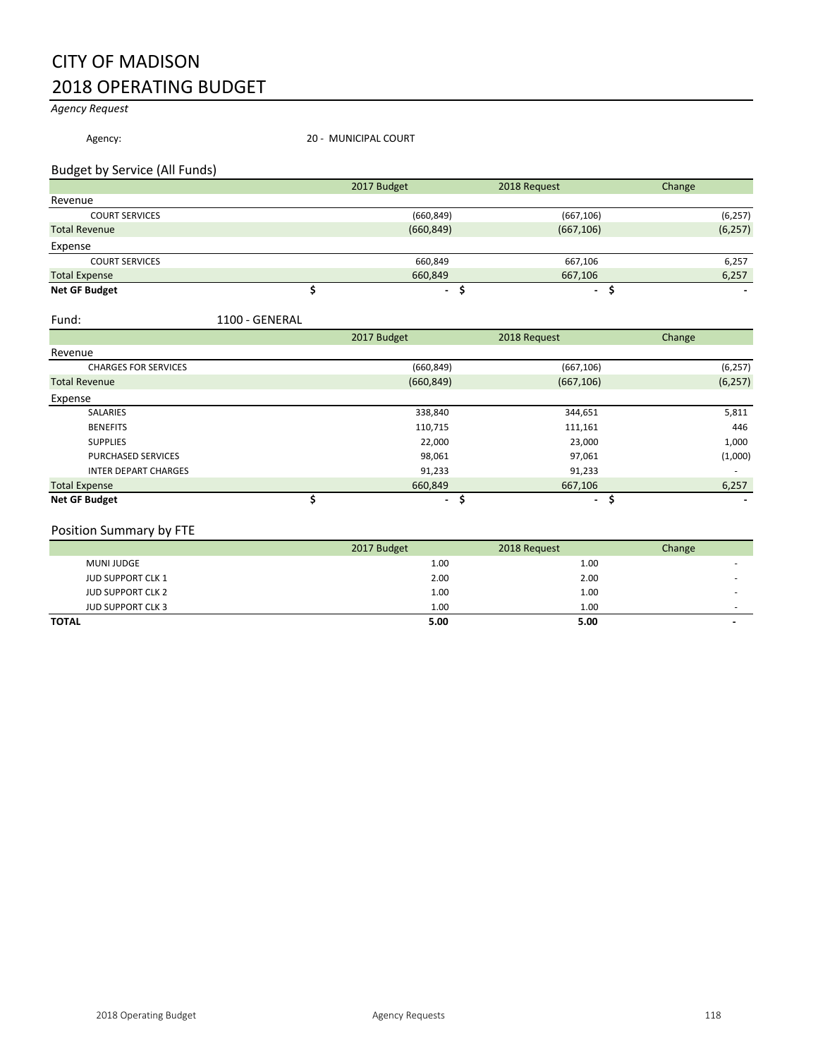## CITY OF MADISON 2018 OPERATING BUDGET

*Agency Request*

Agency: 20 - MUNICIPAL COURT

### Budget by Service (All Funds)

|                       | 2017 Budget    | 2018 Request | Change   |
|-----------------------|----------------|--------------|----------|
| Revenue               |                |              |          |
| <b>COURT SERVICES</b> | (660, 849)     | (667, 106)   | (6, 257) |
| <b>Total Revenue</b>  | (660, 849)     | (667, 106)   | (6, 257) |
| Expense               |                |              |          |
| <b>COURT SERVICES</b> | 660,849        | 667,106      | 6,257    |
| <b>Total Expense</b>  | 660,849        | 667,106      | 6,257    |
| <b>Net GF Budget</b>  | $\blacksquare$ | ۰.           |          |

#### Fund: 1100 - GENERAL

|                             | 2017 Budget | 2018 Request        | Change   |
|-----------------------------|-------------|---------------------|----------|
| Revenue                     |             |                     |          |
| <b>CHARGES FOR SERVICES</b> | (660, 849)  | (667, 106)          | (6, 257) |
| <b>Total Revenue</b>        | (660, 849)  | (667, 106)          | (6, 257) |
| Expense                     |             |                     |          |
| SALARIES                    | 338,840     | 344,651             | 5,811    |
| <b>BENEFITS</b>             | 110,715     | 111,161             | 446      |
| <b>SUPPLIES</b>             | 22,000      | 23,000              | 1,000    |
| <b>PURCHASED SERVICES</b>   | 98,061      | 97,061              | (1,000)  |
| <b>INTER DEPART CHARGES</b> | 91,233      | 91,233              |          |
| <b>Total Expense</b>        | 660,849     | 667,106             | 6,257    |
| <b>Net GF Budget</b>        |             | $\blacksquare$<br>٠ |          |

### Position Summary by FTE

|                          | 2017 Budget | 2018 Request | Change |
|--------------------------|-------------|--------------|--------|
| MUNI JUDGE               | 1.00        | 1.00         |        |
| <b>JUD SUPPORT CLK 1</b> | 2.00        | 2.00         |        |
| <b>JUD SUPPORT CLK 2</b> | 1.00        | 1.00         |        |
| <b>JUD SUPPORT CLK 3</b> | 1.00        | 1.00         | -      |
| <b>TOTAL</b>             | 5.00        | 5.00         |        |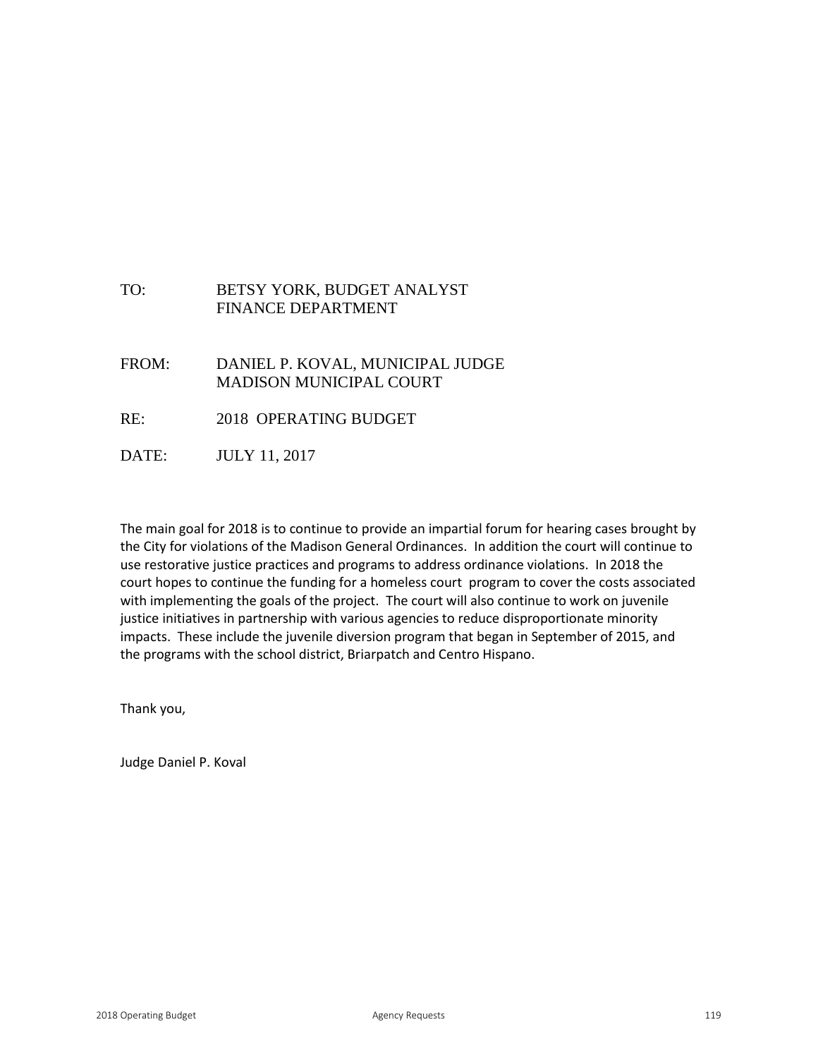## TO: BETSY YORK, BUDGET ANALYST FINANCE DEPARTMENT

- FROM: DANIEL P. KOVAL, MUNICIPAL JUDGE MADISON MUNICIPAL COURT
- RE: 2018 OPERATING BUDGET
- DATE: JULY 11, 2017

The main goal for 2018 is to continue to provide an impartial forum for hearing cases brought by the City for violations of the Madison General Ordinances. In addition the court will continue to use restorative justice practices and programs to address ordinance violations. In 2018 the court hopes to continue the funding for a homeless court program to cover the costs associated with implementing the goals of the project. The court will also continue to work on juvenile justice initiatives in partnership with various agencies to reduce disproportionate minority impacts. These include the juvenile diversion program that began in September of 2015, and the programs with the school district, Briarpatch and Centro Hispano.

Thank you,

Judge Daniel P. Koval